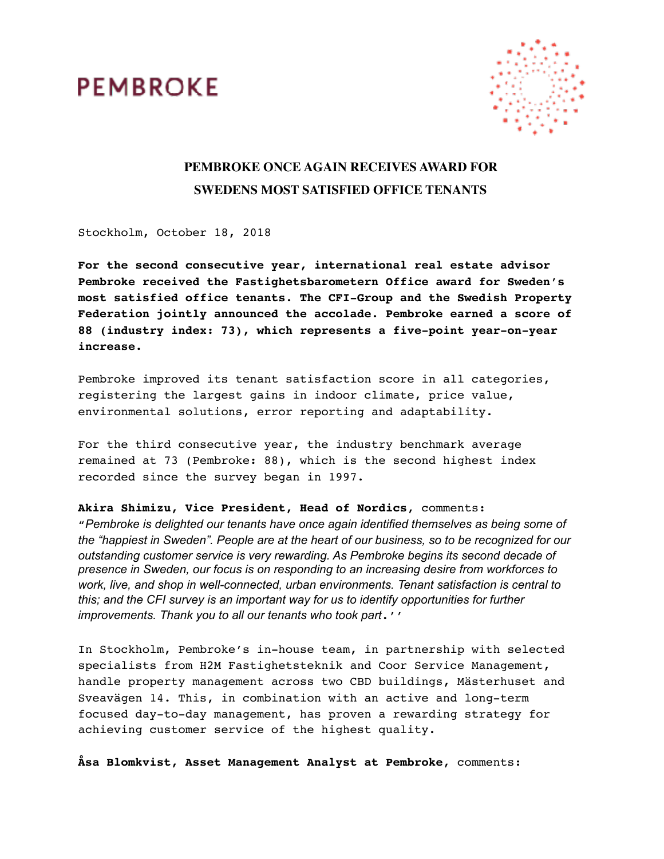



## **PEMBROKE ONCE AGAIN RECEIVES AWARD FOR SWEDENS MOST SATISFIED OFFICE TENANTS**

Stockholm, October 18, 2018

**For the second consecutive year, international real estate advisor Pembroke received the Fastighetsbarometern Office award for Sweden's most satisfied office tenants. The CFI-Group and the Swedish Property Federation jointly announced the accolade. Pembroke earned a score of 88 (industry index: 73), which represents a five-point year-on-year increase.** 

Pembroke improved its tenant satisfaction score in all categories, registering the largest gains in indoor climate, price value, environmental solutions, error reporting and adaptability.

For the third consecutive year, the industry benchmark average remained at 73 (Pembroke: 88), which is the second highest index recorded since the survey began in 1997.

**Akira Shimizu, Vice President, Head of Nordics**, comments: "*Pembroke is delighted our tenants have once again identified themselves as being some of the "happiest in Sweden". People are at the heart of our business, so to be recognized for our outstanding customer service is very rewarding. As Pembroke begins its second decade of presence in Sweden, our focus is on responding to an increasing desire from workforces to work, live, and shop in well-connected, urban environments. Tenant satisfaction is central to this; and the CFI survey is an important way for us to identify opportunities for further improvements. Thank you to all our tenants who took part*.''

In Stockholm, Pembroke's in-house team, in partnership with selected specialists from H2M Fastighetsteknik and Coor Service Management, handle property management across two CBD buildings, Mästerhuset and Sveavägen 14. This, in combination with an active and long-term focused day-to-day management, has proven a rewarding strategy for achieving customer service of the highest quality.

**Åsa Blomkvist, Asset Management Analyst at Pembroke**, comments: